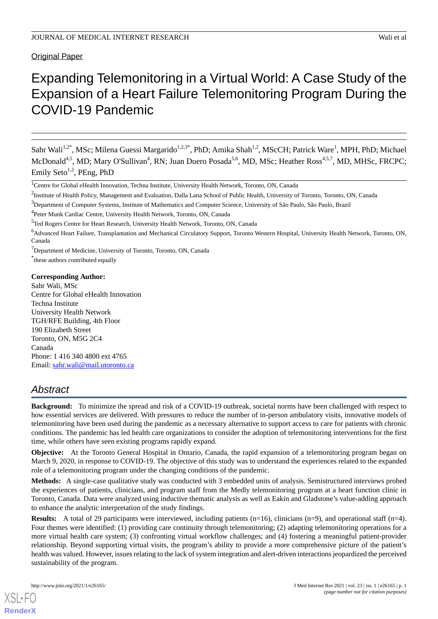**Original Paper** 

# Expanding Telemonitoring in a Virtual World: A Case Study of the Expansion of a Heart Failure Telemonitoring Program During the COVID-19 Pandemic

Sahr Wali<sup>1,2\*</sup>, MSc; Milena Guessi Margarido<sup>1,2,3\*</sup>, PhD; Amika Shah<sup>1,2</sup>, MScCH; Patrick Ware<sup>1</sup>, MPH, PhD; Michael McDonald<sup>4,5</sup>, MD; Mary O'Sullivan<sup>4</sup>, RN; Juan Duero Posada<sup>5,6</sup>, MD, MSc; Heather Ross<sup>4,5,7</sup>, MD, MHSc, FRCPC; Emily Seto<sup>1,2</sup>, PEng, PhD

<sup>7</sup>Department of Medicine, University of Toronto, Toronto, ON, Canada

\* these authors contributed equally

#### **Corresponding Author:**

Sahr Wali, MSc Centre for Global eHealth Innovation Techna Institute University Health Network TGH/RFE Building, 4th Floor 190 Elizabeth Street Toronto, ON, M5G 2C4 Canada Phone: 1 416 340 4800 ext 4765 Email: [sahr.wali@mail.utoronto.ca](mailto:sahr.wali@mail.utoronto.ca)

# *Abstract*

**Background:** To minimize the spread and risk of a COVID-19 outbreak, societal norms have been challenged with respect to how essential services are delivered. With pressures to reduce the number of in-person ambulatory visits, innovative models of telemonitoring have been used during the pandemic as a necessary alternative to support access to care for patients with chronic conditions. The pandemic has led health care organizations to consider the adoption of telemonitoring interventions for the first time, while others have seen existing programs rapidly expand.

**Objective:** At the Toronto General Hospital in Ontario, Canada, the rapid expansion of a telemonitoring program began on March 9, 2020, in response to COVID-19. The objective of this study was to understand the experiences related to the expanded role of a telemonitoring program under the changing conditions of the pandemic.

**Methods:** A single-case qualitative study was conducted with 3 embedded units of analysis. Semistructured interviews probed the experiences of patients, clinicians, and program staff from the Medly telemonitoring program at a heart function clinic in Toronto, Canada. Data were analyzed using inductive thematic analysis as well as Eakin and Gladstone's value-adding approach to enhance the analytic interpretation of the study findings.

**Results:** A total of 29 participants were interviewed, including patients (n=16), clinicians (n=9), and operational staff (n=4). Four themes were identified: (1) providing care continuity through telemonitoring; (2) adapting telemonitoring operations for a more virtual health care system; (3) confronting virtual workflow challenges; and (4) fostering a meaningful patient-provider relationship. Beyond supporting virtual visits, the program's ability to provide a more comprehensive picture of the patient's health was valued. However, issues relating to the lack of system integration and alert-driven interactions jeopardized the perceived sustainability of the program.

<sup>&</sup>lt;sup>1</sup>Centre for Global eHealth Innovation, Techna Institute, University Health Network, Toronto, ON, Canada

<sup>&</sup>lt;sup>2</sup>Institute of Health Policy, Management and Evaluation, Dalla Lana School of Public Health, University of Toronto, Toronto, ON, Canada

<sup>&</sup>lt;sup>3</sup>Department of Computer Systems, Institute of Mathematics and Computer Science, University of São Paulo, São Paulo, Brazil

<sup>&</sup>lt;sup>4</sup>Peter Munk Cardiac Centre, University Health Network, Toronto, ON, Canada

<sup>5</sup>Ted Rogers Centre for Heart Research, University Health Network, Toronto, ON, Canada

<sup>6</sup>Advanced Heart Failure, Transplantation and Mechanical Circulatory Support, Toronto Western Hospital, University Health Network, Toronto, ON, Canada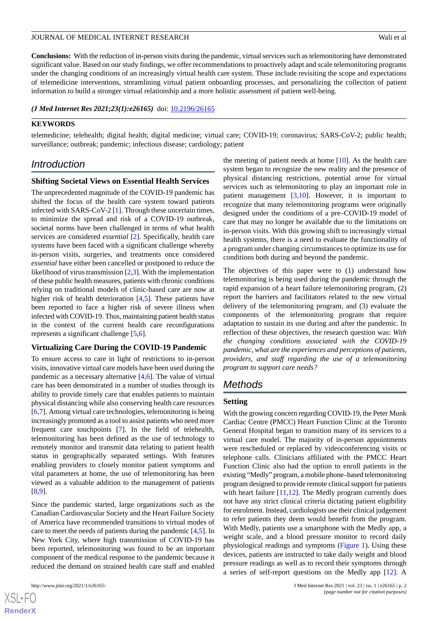**Conclusions:** With the reduction of in-person visits during the pandemic, virtual services such as telemonitoring have demonstrated significant value. Based on our study findings, we offer recommendations to proactively adapt and scale telemonitoring programs under the changing conditions of an increasingly virtual health care system. These include revisiting the scope and expectations of telemedicine interventions, streamlining virtual patient onboarding processes, and personalizing the collection of patient information to build a stronger virtual relationship and a more holistic assessment of patient well-being.

*(J Med Internet Res 2021;23(1):e26165)* doi:  $10.2196/26165$ 

#### **KEYWORDS**

telemedicine; telehealth; digital health; digital medicine; virtual care; COVID-19; coronavirus; SARS-CoV-2; public health; surveillance; outbreak; pandemic; infectious disease; cardiology; patient

# *Introduction*

#### **Shifting Societal Views on Essential Health Services**

The unprecedented magnitude of the COVID-19 pandemic has shifted the focus of the health care system toward patients infected with SARS-CoV-2 [\[1](#page-10-0)]. Through these uncertain times, to minimize the spread and risk of a COVID-19 outbreak, societal norms have been challenged in terms of what health services are considered *essential* [[2\]](#page-10-1)*.* Specifically, health care systems have been faced with a significant challenge whereby in-person visits, surgeries, and treatments once considered *essential* have either been cancelled or postponed to reduce the likelihood of virus transmission [[2](#page-10-1)[,3](#page-10-2)]. With the implementation of these public health measures, patients with chronic conditions relying on traditional models of clinic-based care are now at higher risk of health deterioration [[4,](#page-10-3)[5](#page-10-4)]. These patients have been reported to face a higher risk of severe illness when infected with COVID-19. Thus, maintaining patient health status in the context of the current health care reconfigurations represents a significant challenge [\[5](#page-10-4),[6\]](#page-10-5).

#### **Virtualizing Care During the COVID-19 Pandemic**

To ensure access to care in light of restrictions to in-person visits, innovative virtual care models have been used during the pandemic as a necessary alternative [\[4](#page-10-3),[6\]](#page-10-5). The value of virtual care has been demonstrated in a number of studies through its ability to provide timely care that enables patients to maintain physical distancing while also conserving health care resources [[6](#page-10-5)[,7](#page-10-6)]. Among virtual care technologies, telemonitoring is being increasingly promoted as a tool to assist patients who need more frequent care touchpoints [\[7](#page-10-6)]. In the field of telehealth, telemonitoring has been defined as the use of technology to remotely monitor and transmit data relating to patient health status in geographically separated settings. With features enabling providers to closely monitor patient symptoms and vital parameters at home, the use of telemonitoring has been viewed as a valuable addition to the management of patients [[8](#page-10-7)[,9](#page-10-8)].

Since the pandemic started, large organizations such as the Canadian Cardiovascular Society and the Heart Failure Society of America have recommended transitions to virtual modes of care to meet the needs of patients during the pandemic [[4](#page-10-3)[,5](#page-10-4)]. In New York City, where high transmission of COVID-19 has been reported, telemonitoring was found to be an important component of the medical response to the pandemic because it reduced the demand on strained health care staff and enabled

the meeting of patient needs at home  $[10]$  $[10]$ . As the health care system began to recognize the new reality and the presence of physical distancing restrictions, potential arose for virtual services such as telemonitoring to play an important role in patient management [[3](#page-10-2)[,10](#page-10-9)]. However, it is important to recognize that many telemonitoring programs were originally designed under the conditions of a pre–COVID-19 model of care that may no longer be available due to the limitations on in-person visits. With this growing shift to increasingly virtual health systems, there is a need to evaluate the functionality of a program under changing circumstances to optimize its use for conditions both during and beyond the pandemic.

The objectives of this paper were to (1) understand how telemonitoring is being used during the pandemic through the rapid expansion of a heart failure telemonitoring program, (2) report the barriers and facilitators related to the new virtual delivery of the telemonitoring program, and (3) evaluate the components of the telemonitoring program that require adaptation to sustain its use during and after the pandemic. In reflection of these objectives, the research question was: *With the changing conditions associated with the COVID-19 pandemic, what are the experiences and perceptions of patients, providers, and staff regarding the use of a telemonitoring program to support care needs?*

# *Methods*

#### **Setting**

With the growing concern regarding COVID-19, the Peter Munk Cardiac Centre (PMCC) Heart Function Clinic at the Toronto General Hospital began to transition many of its services to a virtual care model. The majority of in-person appointments were rescheduled or replaced by videoconferencing visits or telephone calls. Clinicians affiliated with the PMCC Heart Function Clinic also had the option to enroll patients in the existing "Medly" program, a mobile phone–based telemonitoring program designed to provide remote clinical support for patients with heart failure  $[11,12]$  $[11,12]$  $[11,12]$  $[11,12]$ . The Medly program currently does not have any strict clinical criteria dictating patient eligibility for enrolment. Instead, cardiologists use their clinical judgement to refer patients they deem would benefit from the program. With Medly, patients use a smartphone with the Medly app, a weight scale, and a blood pressure monitor to record daily physiological readings and symptoms [\(Figure 1](#page-2-0)). Using these devices, patients are instructed to take daily weight and blood pressure readings as well as to record their symptoms through a series of self-report questions on the Medly app [\[12](#page-10-11)]. A

```
XS\cdotFC
RenderX
```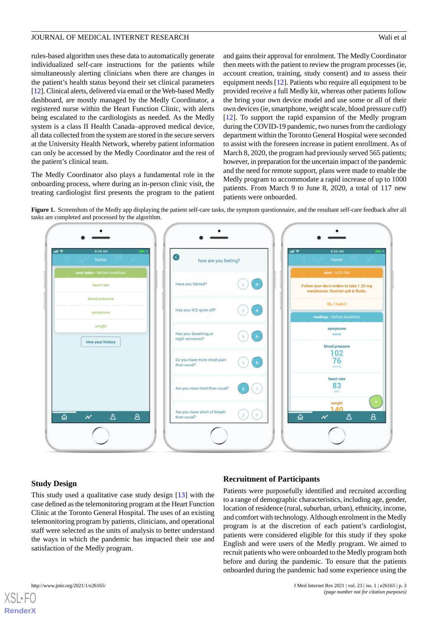rules-based algorithm uses these data to automatically generate individualized self-care instructions for the patients while simultaneously alerting clinicians when there are changes in the patient's health status beyond their set clinical parameters [[12\]](#page-10-11). Clinical alerts, delivered via email or the Web-based Medly dashboard, are mostly managed by the Medly Coordinator, a registered nurse within the Heart Function Clinic, with alerts being escalated to the cardiologists as needed. As the Medly system is a class II Health Canada–approved medical device, all data collected from the system are stored in the secure servers at the University Health Network, whereby patient information can only be accessed by the Medly Coordinator and the rest of the patient's clinical team.

<span id="page-2-0"></span>The Medly Coordinator also plays a fundamental role in the onboarding process, where during an in-person clinic visit, the treating cardiologist first presents the program to the patient and gains their approval for enrolment. The Medly Coordinator then meets with the patient to review the program processes (ie, account creation, training, study consent) and to assess their equipment needs [\[12](#page-10-11)]. Patients who require all equipment to be provided receive a full Medly kit, whereas other patients follow the bring your own device model and use some or all of their own devices (ie, smartphone, weight scale, blood pressure cuff) [[12\]](#page-10-11). To support the rapid expansion of the Medly program during the COVID-19 pandemic, two nurses from the cardiology department within the Toronto General Hospital were seconded to assist with the foreseen increase in patient enrollment. As of March 8, 2020, the program had previously served 565 patients; however, in preparation for the uncertain impact of the pandemic and the need for remote support, plans were made to enable the Medly program to accommodate a rapid increase of up to 1000 patients. From March 9 to June 8, 2020, a total of 117 new patients were onboarded.

Figure 1. Screenshots of the Medly app displaying the patient self-care tasks, the symptom questionnaire, and the resultant self-care feedback after all tasks are completed and processed by the algorithm.



## **Study Design**

## **Recruitment of Participants**

This study used a qualitative case study design [[13\]](#page-10-12) with the case defined as the telemonitoring program at the Heart Function Clinic at the Toronto General Hospital. The uses of an existing telemonitoring program by patients, clinicians, and operational staff were selected as the units of analysis to better understand the ways in which the pandemic has impacted their use and satisfaction of the Medly program.

Patients were purposefully identified and recruited according to a range of demographic characteristics, including age, gender, location of residence (rural, suburban, urban), ethnicity, income, and comfort with technology. Although enrolment in the Medly program is at the discretion of each patient's cardiologist, patients were considered eligible for this study if they spoke English and were users of the Medly program. We aimed to recruit patients who were onboarded to the Medly program both before and during the pandemic. To ensure that the patients onboarded during the pandemic had some experience using the

 $XS$  • FC **[RenderX](http://www.renderx.com/)**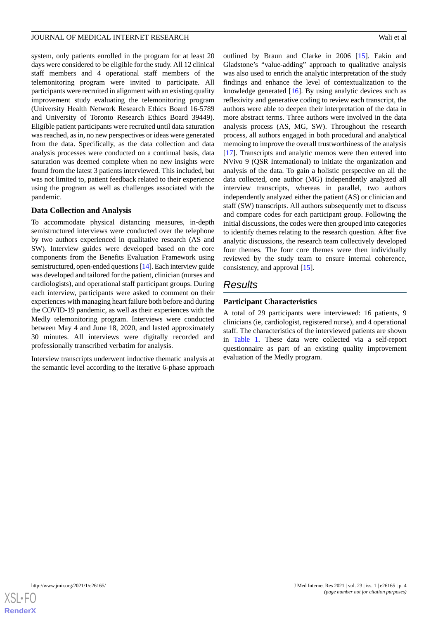system, only patients enrolled in the program for at least 20 days were considered to be eligible for the study. All 12 clinical staff members and 4 operational staff members of the telemonitoring program were invited to participate. All participants were recruited in alignment with an existing quality improvement study evaluating the telemonitoring program (University Health Network Research Ethics Board 16-5789 and University of Toronto Research Ethics Board 39449). Eligible patient participants were recruited until data saturation was reached, as in, no new perspectives or ideas were generated from the data. Specifically, as the data collection and data analysis processes were conducted on a continual basis, data saturation was deemed complete when no new insights were found from the latest 3 patients interviewed. This included, but was not limited to, patient feedback related to their experience using the program as well as challenges associated with the pandemic.

#### **Data Collection and Analysis**

To accommodate physical distancing measures, in-depth semistructured interviews were conducted over the telephone by two authors experienced in qualitative research (AS and SW). Interview guides were developed based on the core components from the Benefits Evaluation Framework using semistructured, open-ended questions [\[14\]](#page-10-13). Each interview guide was developed and tailored for the patient, clinician (nurses and cardiologists), and operational staff participant groups. During each interview, participants were asked to comment on their experiences with managing heart failure both before and during the COVID-19 pandemic, as well as their experiences with the Medly telemonitoring program. Interviews were conducted between May 4 and June 18, 2020, and lasted approximately 30 minutes. All interviews were digitally recorded and professionally transcribed verbatim for analysis.

Interview transcripts underwent inductive thematic analysis at the semantic level according to the iterative 6-phase approach

outlined by Braun and Clarke in 2006 [[15\]](#page-10-14). Eakin and Gladstone's "value-adding" approach to qualitative analysis was also used to enrich the analytic interpretation of the study findings and enhance the level of contextualization to the knowledge generated [[16\]](#page-10-15). By using analytic devices such as reflexivity and generative coding to review each transcript, the authors were able to deepen their interpretation of the data in more abstract terms. Three authors were involved in the data analysis process (AS, MG, SW). Throughout the research process, all authors engaged in both procedural and analytical memoing to improve the overall trustworthiness of the analysis [[17\]](#page-10-16). Transcripts and analytic memos were then entered into NVivo 9 (QSR International) to initiate the organization and analysis of the data. To gain a holistic perspective on all the data collected, one author (MG) independently analyzed all interview transcripts, whereas in parallel, two authors independently analyzed either the patient (AS) or clinician and staff (SW) transcripts. All authors subsequently met to discuss and compare codes for each participant group. Following the initial discussions, the codes were then grouped into categories to identify themes relating to the research question. After five analytic discussions, the research team collectively developed four themes. The four core themes were then individually reviewed by the study team to ensure internal coherence, consistency, and approval [[15\]](#page-10-14).

# *Results*

#### **Participant Characteristics**

A total of 29 participants were interviewed: 16 patients, 9 clinicians (ie, cardiologist, registered nurse), and 4 operational staff. The characteristics of the interviewed patients are shown in [Table 1](#page-4-0). These data were collected via a self-report questionnaire as part of an existing quality improvement evaluation of the Medly program.

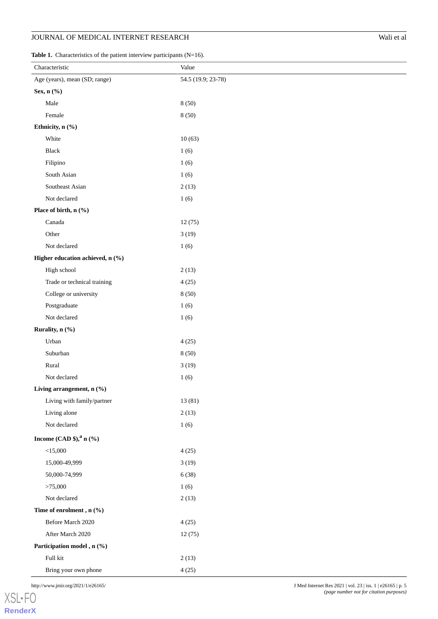<span id="page-4-0"></span>

|  | <b>Table 1.</b> Characteristics of the patient interview participants $(N=16)$ . |  |  |  |  |
|--|----------------------------------------------------------------------------------|--|--|--|--|
|--|----------------------------------------------------------------------------------|--|--|--|--|

| Characteristic                         | Value              |  |  |  |
|----------------------------------------|--------------------|--|--|--|
| Age (years), mean (SD; range)          | 54.5 (19.9; 23-78) |  |  |  |
| Sex, n (%)                             |                    |  |  |  |
| Male                                   | 8(50)              |  |  |  |
| Female                                 | 8(50)              |  |  |  |
| Ethnicity, n (%)                       |                    |  |  |  |
| White                                  | 10(63)             |  |  |  |
| Black                                  | 1(6)               |  |  |  |
| Filipino                               | 1(6)               |  |  |  |
| South Asian                            | 1(6)               |  |  |  |
| Southeast Asian                        | 2(13)              |  |  |  |
| Not declared                           | 1(6)               |  |  |  |
| Place of birth, n (%)                  |                    |  |  |  |
| Canada                                 | 12(75)             |  |  |  |
| Other                                  | 3(19)              |  |  |  |
| Not declared                           | 1(6)               |  |  |  |
| Higher education achieved, n (%)       |                    |  |  |  |
| High school                            | 2(13)              |  |  |  |
| Trade or technical training            | 4(25)              |  |  |  |
| College or university                  | 8(50)              |  |  |  |
| Postgraduate                           | 1(6)               |  |  |  |
| Not declared                           | 1(6)               |  |  |  |
| Rurality, n (%)                        |                    |  |  |  |
| Urban                                  | 4(25)              |  |  |  |
| Suburban                               | 8(50)              |  |  |  |
| Rural                                  | 3(19)              |  |  |  |
| Not declared                           | 1(6)               |  |  |  |
| Living arrangement, n (%)              |                    |  |  |  |
| Living with family/partner             | 13(81)             |  |  |  |
| Living alone                           | 2(13)              |  |  |  |
| Not declared                           | 1(6)               |  |  |  |
| Income (CAD \$), <sup>a</sup> n $(\%)$ |                    |  |  |  |
| $<$ 15,000                             | 4(25)              |  |  |  |
| 15,000-49,999                          | 3(19)              |  |  |  |
| 50,000-74,999                          | 6(38)              |  |  |  |
| >75,000                                | 1(6)               |  |  |  |
| Not declared                           | 2(13)              |  |  |  |
| Time of enrolment , n $(\% )$          |                    |  |  |  |
| Before March 2020                      | 4(25)              |  |  |  |
| After March 2020                       | 12(75)             |  |  |  |
| Participation model, n (%)             |                    |  |  |  |
| Full kit                               | 2(13)              |  |  |  |
| Bring your own phone                   | 4(25)              |  |  |  |

http://www.jmir.org/2021/1/e26165/ J Med Internet Res 2021 | vol. 23 | iss. 1 | e26165 | p. 5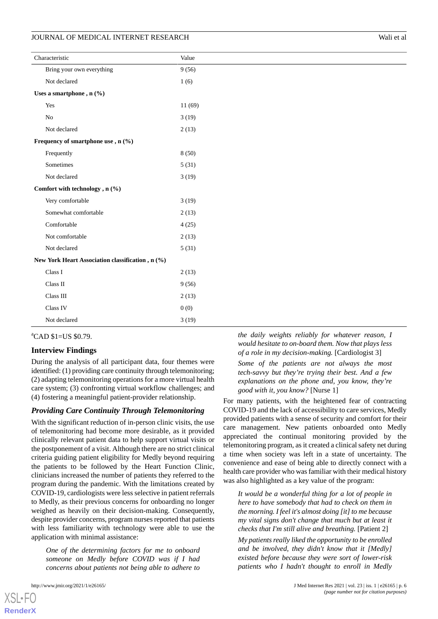| Characteristic                                   |         |  |
|--------------------------------------------------|---------|--|
| Bring your own everything                        | 9(56)   |  |
| Not declared                                     | 1(6)    |  |
| Uses a smartphone, $n$ (%)                       |         |  |
| Yes                                              | 11 (69) |  |
| N <sub>0</sub>                                   | 3(19)   |  |
| Not declared                                     | 2(13)   |  |
| Frequency of smartphone use, $n$ (%)             |         |  |
| Frequently                                       | 8(50)   |  |
| Sometimes                                        | 5(31)   |  |
| Not declared                                     | 3(19)   |  |
| Comfort with technology, n (%)                   |         |  |
| Very comfortable                                 | 3(19)   |  |
| Somewhat comfortable                             | 2(13)   |  |
| Comfortable                                      | 4(25)   |  |
| Not comfortable                                  | 2(13)   |  |
| Not declared                                     | 5(31)   |  |
| New York Heart Association classification, n (%) |         |  |
| Class I                                          | 2(13)   |  |
| Class II                                         | 9(56)   |  |
| Class III                                        | 2(13)   |  |
| Class IV                                         | 0(0)    |  |
| Not declared                                     | 3(19)   |  |

# ${}^{\text{a}}$ CAD \$1=US \$0.79.

#### **Interview Findings**

During the analysis of all participant data, four themes were identified: (1) providing care continuity through telemonitoring; (2) adapting telemonitoring operations for a more virtual health care system; (3) confronting virtual workflow challenges; and (4) fostering a meaningful patient-provider relationship.

#### *Providing Care Continuity Through Telemonitoring*

With the significant reduction of in-person clinic visits, the use of telemonitoring had become more desirable, as it provided clinically relevant patient data to help support virtual visits or the postponement of a visit. Although there are no strict clinical criteria guiding patient eligibility for Medly beyond requiring the patients to be followed by the Heart Function Clinic, clinicians increased the number of patients they referred to the program during the pandemic. With the limitations created by COVID-19, cardiologists were less selective in patient referrals to Medly, as their previous concerns for onboarding no longer weighed as heavily on their decision-making. Consequently, despite provider concerns, program nurses reported that patients with less familiarity with technology were able to use the application with minimal assistance:

*One of the determining factors for me to onboard someone on Medly before COVID was if I had concerns about patients not being able to adhere to*

[XSL](http://www.w3.org/Style/XSL)•FO **[RenderX](http://www.renderx.com/)**

*the daily weights reliably for whatever reason, I would hesitate to on-board them. Now that plays less of a role in my decision-making.* [Cardiologist 3]

*Some of the patients are not always the most tech-savvy but they're trying their best. And a few explanations on the phone and, you know, they're good with it, you know?* [Nurse 1]

For many patients, with the heightened fear of contracting COVID-19 and the lack of accessibility to care services, Medly provided patients with a sense of security and comfort for their care management. New patients onboarded onto Medly appreciated the continual monitoring provided by the telemonitoring program, as it created a clinical safety net during a time when society was left in a state of uncertainty. The convenience and ease of being able to directly connect with a health care provider who was familiar with their medical history was also highlighted as a key value of the program:

*It would be a wonderful thing for a lot of people in here to have somebody that had to check on them in the morning. I feel it's almost doing [it] to me because my vital signs don't change that much but at least it checks that I'm still alive and breathing.* [Patient 2]

*My patients really liked the opportunity to be enrolled and be involved, they didn't know that it [Medly] existed before because they were sort of lower-risk patients who I hadn't thought to enroll in Medly*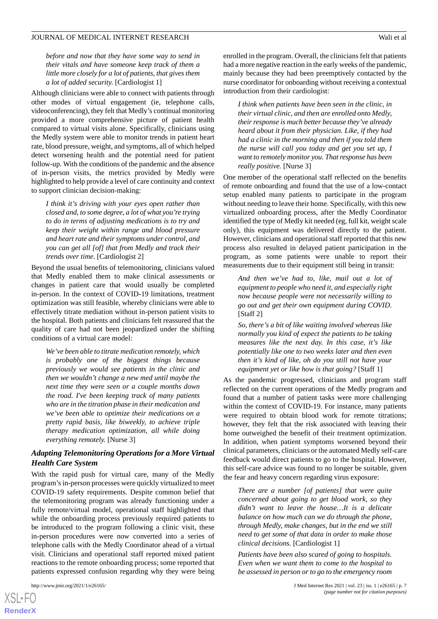*before and now that they have some way to send in their vitals and have someone keep track of them a little more closely for a lot of patients, that gives them a lot of added security.* [Cardiologist 1]

Although clinicians were able to connect with patients through other modes of virtual engagement (ie, telephone calls, videoconferencing), they felt that Medly's continual monitoring provided a more comprehensive picture of patient health compared to virtual visits alone. Specifically, clinicians using the Medly system were able to monitor trends in patient heart rate, blood pressure, weight, and symptoms, all of which helped detect worsening health and the potential need for patient follow-up. With the conditions of the pandemic and the absence of in-person visits, the metrics provided by Medly were highlighted to help provide a level of care continuity and context to support clinician decision-making:

*I think it's driving with your eyes open rather than closed and, to some degree, a lot of what you're trying to do in terms of adjusting medications is to try and keep their weight within range and blood pressure and heart rate and their symptoms under control, and you can get all [of] that from Medly and track their trends over time.* [Cardiologist 2]

Beyond the usual benefits of telemonitoring, clinicians valued that Medly enabled them to make clinical assessments or changes in patient care that would usually be completed in-person. In the context of COVID-19 limitations, treatment optimization was still feasible, whereby clinicians were able to effectively titrate mediation without in-person patient visits to the hospital. Both patients and clinicians felt reassured that the quality of care had not been jeopardized under the shifting conditions of a virtual care model:

*We've been able to titrate medication remotely, which is probably one of the biggest things because previously we would see patients in the clinic and then we wouldn't change a new med until maybe the next time they were seen or a couple months down the road. I've been keeping track of many patients who are in the titration phase in their medication and we've been able to optimize their medications on a pretty rapid basis, like biweekly, to achieve triple therapy medication optimization, all while doing everything remotely.* [Nurse 3]

## *Adapting Telemonitoring Operations for a More Virtual Health Care System*

With the rapid push for virtual care, many of the Medly program's in-person processes were quickly virtualized to meet COVID-19 safety requirements. Despite common belief that the telemonitoring program was already functioning under a fully remote/virtual model, operational staff highlighted that while the onboarding process previously required patients to be introduced to the program following a clinic visit, these in-person procedures were now converted into a series of telephone calls with the Medly Coordinator ahead of a virtual visit. Clinicians and operational staff reported mixed patient reactions to the remote onboarding process; some reported that patients expressed confusion regarding why they were being

enrolled in the program. Overall, the clinicians felt that patients had a more negative reaction in the early weeks of the pandemic, mainly because they had been preemptively contacted by the nurse coordinator for onboarding without receiving a contextual introduction from their cardiologist:

*I think when patients have been seen in the clinic, in their virtual clinic, and then are enrolled onto Medly, their response is much better because they've already heard about it from their physician. Like, if they had had a clinic in the morning and then if you told them the nurse will call you today and get you set up, I want to remotely monitor you. That response has been really positive.* [Nurse 3]

One member of the operational staff reflected on the benefits of remote onboarding and found that the use of a low-contact setup enabled many patients to participate in the program without needing to leave their home. Specifically, with this new virtualized onboarding process, after the Medly Coordinator identified the type of Medly kit needed (eg, full kit, weight scale only), this equipment was delivered directly to the patient. However, clinicians and operational staff reported that this new process also resulted in delayed patient participation in the program, as some patients were unable to report their measurements due to their equipment still being in transit:

*And then we've had to, like, mail out a lot of equipment to people who need it, and especially right now because people were not necessarily willing to go out and get their own equipment during COVID.* [Staff 2]

*So, there's a bit of like waiting involved whereas like normally you kind of expect the patients to be taking measures like the next day. In this case, it's like potentially like one to two weeks later and then even then it's kind of like, oh do you still not have your equipment yet or like how is that going?* [Staff 1]

As the pandemic progressed, clinicians and program staff reflected on the current operations of the Medly program and found that a number of patient tasks were more challenging within the context of COVID-19. For instance, many patients were required to obtain blood work for remote titrations; however, they felt that the risk associated with leaving their home outweighed the benefit of their treatment optimization. In addition, when patient symptoms worsened beyond their clinical parameters, clinicians or the automated Medly self-care feedback would direct patients to go to the hospital. However, this self-care advice was found to no longer be suitable, given the fear and heavy concern regarding virus exposure:

*There are a number [of patients] that were quite concerned about going to get blood work, so they didn't want to leave the house…It is a delicate balance on how much can we do through the phone, through Medly, make changes, but in the end we still need to get some of that data in order to make those clinical decisions.* [Cardiologist 1]

*Patients have been also scared of going to hospitals. Even when we want them to come to the hospital to be assessed in person or to go to the emergency room*

 $XS$ -FO **[RenderX](http://www.renderx.com/)**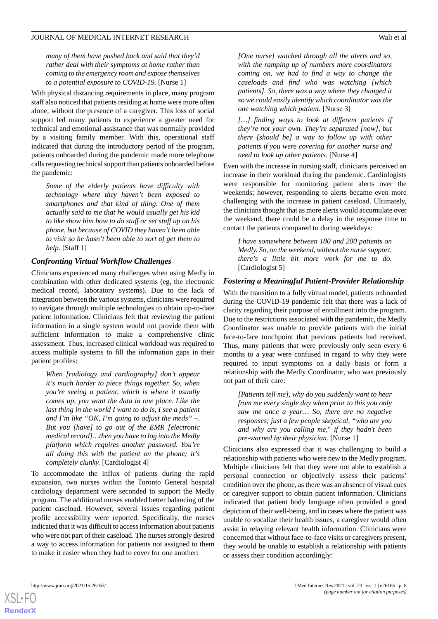*many of them have pushed back and said that they'd rather deal with their symptoms at home rather than coming to the emergency room and expose themselves to a potential exposure to COVID-19.* [Nurse 1]

With physical distancing requirements in place, many program staff also noticed that patients residing at home were more often alone, without the presence of a caregiver. This loss of social support led many patients to experience a greater need for technical and emotional assistance that was normally provided by a visiting family member. With this, operational staff indicated that during the introductory period of the program, patients onboarded during the pandemic made more telephone calls requesting technical support than patients onboarded before the pandemic:

*Some of the elderly patients have difficulty with technology where they haven't been exposed to smartphones and that kind of thing. One of them actually said to me that he would usually get his kid to like show him how to do stuff or set stuff up on his phone, but because of COVID they haven't been able to visit so he hasn't been able to sort of get them to help.* [Staff 1]

#### *Confronting Virtual Workflow Challenges*

Clinicians experienced many challenges when using Medly in combination with other dedicated systems (eg, the electronic medical record, laboratory systems). Due to the lack of integration between the various systems, clinicians were required to navigate through multiple technologies to obtain up-to-date patient information. Clinicians felt that reviewing the patient information in a single system would not provide them with sufficient information to make a comprehensive clinic assessment. Thus, increased clinical workload was required to access multiple systems to fill the information gaps in their patient profiles:

*When [radiology and cardiography] don't appear it's much harder to piece things together. So, when you're seeing a patient, which is where it usually comes up, you want the data in one place. Like the last thing in the world I want to do is, I see a patient and I'm like "OK, I'm going to adjust the meds" –. But you [have] to go out of the EMR [electronic medical record]…then you have to log into the Medly platform which requires another password. You're all doing this with the patient on the phone; it's completely clunky.* [Cardiologist 4]

To accommodate the influx of patients during the rapid expansion, two nurses within the Toronto General hospital cardiology department were seconded to support the Medly program. The additional nurses enabled better balancing of the patient caseload. However, several issues regarding patient profile accessibility were reported. Specifically, the nurses indicated that it was difficult to access information about patients who were not part of their caseload. The nurses strongly desired a way to access information for patients not assigned to them to make it easier when they had to cover for one another:

*[One nurse] watched through all the alerts and so, with the ramping up of numbers more coordinators coming on, we had to find a way to change the caseloads and find who was watching [which patients]. So, there was a way where they changed it so we could easily identify which coordinator was the one watching which patient.* [Nurse 3]

*[…] finding ways to look at different patients if they're not your own. They're separated [now], but there [should be] a way to follow up with other patients if you were covering for another nurse and need to look up other patients.* [Nurse 4]

Even with the increase in nursing staff, clinicians perceived an increase in their workload during the pandemic. Cardiologists were responsible for monitoring patient alerts over the weekends; however, responding to alerts became even more challenging with the increase in patient caseload. Ultimately, the clinicians thought that as more alerts would accumulate over the weekend, there could be a delay in the response time to contact the patients compared to during weekdays:

*I have somewhere between 180 and 200 patients on Medly. So, on the weekend, without the nurse support, there's a little bit more work for me to do.* [Cardiologist 5]

#### *Fostering a Meaningful Patient-Provider Relationship*

With the transition to a fully virtual model, patients onboarded during the COVID-19 pandemic felt that there was a lack of clarity regarding their purpose of enrollment into the program. Due to the restrictions associated with the pandemic, the Medly Coordinator was unable to provide patients with the initial face-to-face touchpoint that previous patients had received. Thus, many patients that were previously only seen every 6 months to a year were confused in regard to why they were required to input symptoms on a daily basis or form a relationship with the Medly Coordinator, who was previously not part of their care:

*[Patients tell me], why do you suddenly want to hear from me every single day when prior to this you only saw me once a year… So, there are no negative responses; just a few people skeptical, "who are you and why are you calling me," if they hadn't been pre-warned by their physician.* [Nurse 1]

Clinicians also expressed that it was challenging to build a relationship with patients who were new to the Medly program. Multiple clinicians felt that they were not able to establish a personal connection or objectively assess their patients' condition over the phone, as there was an absence of visual cues or caregiver support to obtain patient information. Clinicians indicated that patient body language often provided a good depiction of their well-being, and in cases where the patient was unable to vocalize their health issues, a caregiver would often assist in relaying relevant health information. Clinicians were concerned that without face-to-face visits or caregivers present, they would be unable to establish a relationship with patients or assess their condition accordingly: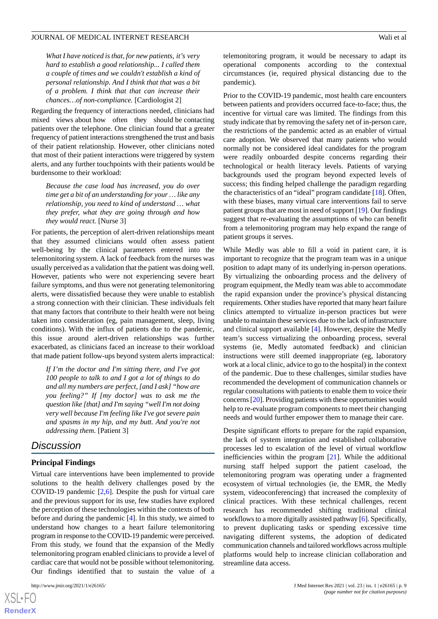*What I have noticed is that, for new patients, it's very hard to establish a good relationship... I called them a couple of times and we couldn't establish a kind of personal relationship. And I think that that was a bit of a problem. I think that that can increase their chances…of non-compliance.* [Cardiologist 2]

Regarding the frequency of interactions needed, clinicians had mixed views about how often they should be contacting patients over the telephone. One clinician found that a greater frequency of patient interactions strengthened the trust and basis of their patient relationship. However, other clinicians noted that most of their patient interactions were triggered by system alerts, and any further touchpoints with their patients would be burdensome to their workload:

*Because the case load has increased, you do over time get a bit of an understanding for your … like any relationship, you need to kind of understand … what they prefer, what they are going through and how they would react.* [Nurse 3]

For patients, the perception of alert-driven relationships meant that they assumed clinicians would often assess patient well-being by the clinical parameters entered into the telemonitoring system. A lack of feedback from the nurses was usually perceived as a validation that the patient was doing well. However, patients who were not experiencing severe heart failure symptoms, and thus were not generating telemonitoring alerts, were dissatisfied because they were unable to establish a strong connection with their clinician. These individuals felt that many factors that contribute to their health were not being taken into consideration (eg, pain management, sleep, living conditions). With the influx of patients due to the pandemic, this issue around alert-driven relationships was further exacerbated, as clinicians faced an increase to their workload that made patient follow-ups beyond system alerts impractical:

*If I'm the doctor and I'm sitting there, and I've got 100 people to talk to and I got a lot of things to do and all my numbers are perfect, [and I ask] "how are you feeling?" If [my doctor] was to ask me the question like [that] and I'm saying "well I'm not doing very well because I'm feeling like I've got severe pain and spasms in my hip, and my butt. And you're not addressing them.* [Patient 3]

# *Discussion*

#### **Principal Findings**

Virtual care interventions have been implemented to provide solutions to the health delivery challenges posed by the COVID-19 pandemic  $[2,6]$  $[2,6]$  $[2,6]$ . Despite the push for virtual care and the previous support for its use, few studies have explored the perception of these technologies within the contexts of both before and during the pandemic [[4\]](#page-10-3). In this study, we aimed to understand how changes to a heart failure telemonitoring program in response to the COVID-19 pandemic were perceived. From this study, we found that the expansion of the Medly telemonitoring program enabled clinicians to provide a level of cardiac care that would not be possible without telemonitoring. Our findings identified that to sustain the value of a

[XSL](http://www.w3.org/Style/XSL)•FO **[RenderX](http://www.renderx.com/)** telemonitoring program, it would be necessary to adapt its operational components according to the contextual circumstances (ie, required physical distancing due to the pandemic).

Prior to the COVID-19 pandemic, most health care encounters between patients and providers occurred face-to-face; thus, the incentive for virtual care was limited. The findings from this study indicate that by removing the safety net of in-person care, the restrictions of the pandemic acted as an enabler of virtual care adoption. We observed that many patients who would normally not be considered ideal candidates for the program were readily onboarded despite concerns regarding their technological or health literacy levels. Patients of varying backgrounds used the program beyond expected levels of success; this finding helped challenge the paradigm regarding the characteristics of an "ideal" program candidate [[18\]](#page-10-17). Often, with these biases, many virtual care interventions fail to serve patient groups that are most in need of support [\[19](#page-11-0)]. Our findings suggest that re-evaluating the assumptions of who can benefit from a telemonitoring program may help expand the range of patient groups it serves.

While Medly was able to fill a void in patient care, it is important to recognize that the program team was in a unique position to adapt many of its underlying in-person operations. By virtualizing the onboarding process and the delivery of program equipment, the Medly team was able to accommodate the rapid expansion under the province's physical distancing requirements. Other studies have reported that many heart failure clinics attempted to virtualize in-person practices but were unable to maintain these services due to the lack of infrastructure and clinical support available [[4\]](#page-10-3). However, despite the Medly team's success virtualizing the onboarding process, several systems (ie, Medly automated feedback) and clinician instructions were still deemed inappropriate (eg, laboratory work at a local clinic, advice to go to the hospital) in the context of the pandemic. Due to these challenges, similar studies have recommended the development of communication channels or regular consultations with patients to enable them to voice their concerns [[20](#page-11-1)]. Providing patients with these opportunities would help to re-evaluate program components to meet their changing needs and would further empower them to manage their care.

Despite significant efforts to prepare for the rapid expansion, the lack of system integration and established collaborative processes led to escalation of the level of virtual workflow inefficiencies within the program [\[21](#page-11-2)]. While the additional nursing staff helped support the patient caseload, the telemonitoring program was operating under a fragmented ecosystem of virtual technologies (ie, the EMR, the Medly system, videoconferencing) that increased the complexity of clinical practices. With these technical challenges, recent research has recommended shifting traditional clinical workflows to a more digitally assisted pathway [[6](#page-10-5)]. Specifically, to prevent duplicating tasks or spending excessive time navigating different systems, the adoption of dedicated communication channels and tailored workflows across multiple platforms would help to increase clinician collaboration and streamline data access.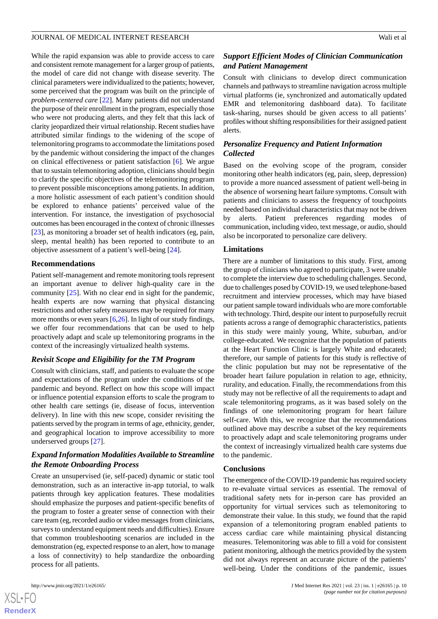While the rapid expansion was able to provide access to care and consistent remote management for a larger group of patients, the model of care did not change with disease severity. The clinical parameters were individualized to the patients; however, some perceived that the program was built on the principle of *problem-centered care* [[22\]](#page-11-3). Many patients did not understand the purpose of their enrollment in the program, especially those who were not producing alerts, and they felt that this lack of clarity jeopardized their virtual relationship. Recent studies have attributed similar findings to the widening of the scope of telemonitoring programs to accommodate the limitations posed by the pandemic without considering the impact of the changes on clinical effectiveness or patient satisfaction [[6\]](#page-10-5). We argue that to sustain telemonitoring adoption, clinicians should begin to clarify the specific objectives of the telemonitoring program to prevent possible misconceptions among patients. In addition, a more holistic assessment of each patient's condition should be explored to enhance patients' perceived value of the intervention. For instance, the investigation of psychosocial outcomes has been encouraged in the context of chronic illnesses [[23\]](#page-11-4), as monitoring a broader set of health indicators (eg, pain, sleep, mental health) has been reported to contribute to an objective assessment of a patient's well-being [[24\]](#page-11-5).

#### **Recommendations**

Patient self-management and remote monitoring tools represent an important avenue to deliver high-quality care in the community [\[25](#page-11-6)]. With no clear end in sight for the pandemic, health experts are now warning that physical distancing restrictions and other safety measures may be required for many more months or even years  $[6,26]$  $[6,26]$  $[6,26]$  $[6,26]$ . In light of our study findings, we offer four recommendations that can be used to help proactively adapt and scale up telemonitoring programs in the context of the increasingly virtualized health systems.

#### *Revisit Scope and Eligibility for the TM Program*

Consult with clinicians, staff, and patients to evaluate the scope and expectations of the program under the conditions of the pandemic and beyond. Reflect on how this scope will impact or influence potential expansion efforts to scale the program to other health care settings (ie, disease of focus, intervention delivery). In line with this new scope, consider revisiting the patients served by the program in terms of age, ethnicity, gender, and geographical location to improve accessibility to more underserved groups [[27\]](#page-11-8).

## *Expand Information Modalities Available to Streamline the Remote Onboarding Process*

Create an unsupervised (ie, self-paced) dynamic or static tool demonstration, such as an interactive in-app tutorial, to walk patients through key application features. These modalities should emphasize the purposes and patient-specific benefits of the program to foster a greater sense of connection with their care team (eg, recorded audio or video messages from clinicians, surveys to understand equipment needs and difficulties). Ensure that common troubleshooting scenarios are included in the demonstration (eg, expected response to an alert, how to manage a loss of connectivity) to help standardize the onboarding process for all patients.

# *Support Efficient Modes of Clinician Communication and Patient Management*

Consult with clinicians to develop direct communication channels and pathways to streamline navigation across multiple virtual platforms (ie, synchronized and automatically updated EMR and telemonitoring dashboard data). To facilitate task-sharing, nurses should be given access to all patients' profiles without shifting responsibilities for their assigned patient alerts.

# *Personalize Frequency and Patient Information Collected*

Based on the evolving scope of the program, consider monitoring other health indicators (eg, pain, sleep, depression) to provide a more nuanced assessment of patient well-being in the absence of worsening heart failure symptoms. Consult with patients and clinicians to assess the frequency of touchpoints needed based on individual characteristics that may not be driven by alerts. Patient preferences regarding modes of communication, including video, text message, or audio, should also be incorporated to personalize care delivery.

#### **Limitations**

There are a number of limitations to this study. First, among the group of clinicians who agreed to participate, 3 were unable to complete the interview due to scheduling challenges. Second, due to challenges posed by COVID-19, we used telephone-based recruitment and interview processes, which may have biased our patient sample toward individuals who are more comfortable with technology. Third, despite our intent to purposefully recruit patients across a range of demographic characteristics, patients in this study were mainly young, White, suburban, and/or college-educated. We recognize that the population of patients at the Heart Function Clinic is largely White and educated; therefore, our sample of patients for this study is reflective of the clinic population but may not be representative of the broader heart failure population in relation to age, ethnicity, rurality, and education. Finally, the recommendations from this study may not be reflective of all the requirements to adapt and scale telemonitoring programs, as it was based solely on the findings of one telemonitoring program for heart failure self-care. With this, we recognize that the recommendations outlined above may describe a subset of the key requirements to proactively adapt and scale telemonitoring programs under the context of increasingly virtualized health care systems due to the pandemic.

#### **Conclusions**

The emergence of the COVID-19 pandemic has required society to re-evaluate virtual services as essential. The removal of traditional safety nets for in-person care has provided an opportunity for virtual services such as telemonitoring to demonstrate their value. In this study, we found that the rapid expansion of a telemonitoring program enabled patients to access cardiac care while maintaining physical distancing measures. Telemonitoring was able to fill a void for consistent patient monitoring, although the metrics provided by the system did not always represent an accurate picture of the patients' well-being. Under the conditions of the pandemic, issues

 $XS$  $\cdot$ FC **[RenderX](http://www.renderx.com/)**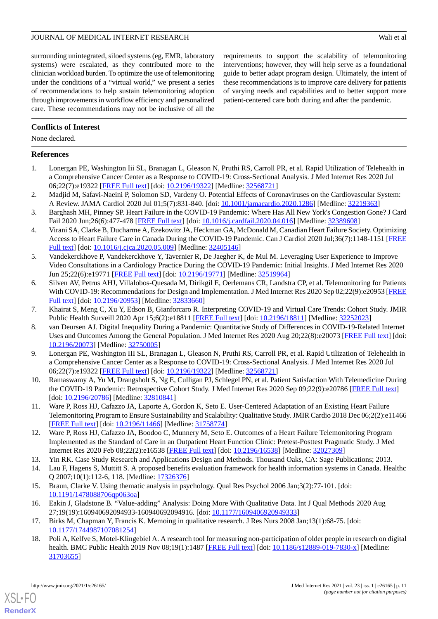surrounding unintegrated, siloed systems (eg, EMR, laboratory systems) were escalated, as they contributed more to the clinician workload burden. To optimize the use of telemonitoring under the conditions of a "virtual world," we present a series of recommendations to help sustain telemonitoring adoption through improvements in workflow efficiency and personalized care. These recommendations may not be inclusive of all the

requirements to support the scalability of telemonitoring interventions; however, they will help serve as a foundational guide to better adapt program design. Ultimately, the intent of these recommendations is to improve care delivery for patients of varying needs and capabilities and to better support more patient-centered care both during and after the pandemic.

#### **Conflicts of Interest**

None declared.

#### <span id="page-10-0"></span>**References**

- <span id="page-10-1"></span>1. Lonergan PE, Washington Iii SL, Branagan L, Gleason N, Pruthi RS, Carroll PR, et al. Rapid Utilization of Telehealth in a Comprehensive Cancer Center as a Response to COVID-19: Cross-Sectional Analysis. J Med Internet Res 2020 Jul 06;22(7):e19322 [\[FREE Full text](https://www.jmir.org/2020/7/e19322/)] [doi: [10.2196/19322\]](http://dx.doi.org/10.2196/19322) [Medline: [32568721\]](http://www.ncbi.nlm.nih.gov/entrez/query.fcgi?cmd=Retrieve&db=PubMed&list_uids=32568721&dopt=Abstract)
- <span id="page-10-2"></span>2. Madjid M, Safavi-Naeini P, Solomon SD, Vardeny O. Potential Effects of Coronaviruses on the Cardiovascular System: A Review. JAMA Cardiol 2020 Jul 01;5(7):831-840. [doi: [10.1001/jamacardio.2020.1286\]](http://dx.doi.org/10.1001/jamacardio.2020.1286) [Medline: [32219363](http://www.ncbi.nlm.nih.gov/entrez/query.fcgi?cmd=Retrieve&db=PubMed&list_uids=32219363&dopt=Abstract)]
- <span id="page-10-3"></span>3. Barghash MH, Pinney SP. Heart Failure in the COVID-19 Pandemic: Where Has All New York's Congestion Gone? J Card Fail 2020 Jun;26(6):477-478 [\[FREE Full text\]](http://europepmc.org/abstract/MED/32389608) [doi: [10.1016/j.cardfail.2020.04.016](http://dx.doi.org/10.1016/j.cardfail.2020.04.016)] [Medline: [32389608](http://www.ncbi.nlm.nih.gov/entrez/query.fcgi?cmd=Retrieve&db=PubMed&list_uids=32389608&dopt=Abstract)]
- <span id="page-10-4"></span>4. Virani SA, Clarke B, Ducharme A, Ezekowitz JA, Heckman GA, McDonald M, Canadian Heart Failure Society. Optimizing Access to Heart Failure Care in Canada During the COVID-19 Pandemic. Can J Cardiol 2020 Jul;36(7):1148-1151 [\[FREE](http://europepmc.org/abstract/MED/32405146) [Full text\]](http://europepmc.org/abstract/MED/32405146) [doi: [10.1016/j.cjca.2020.05.009](http://dx.doi.org/10.1016/j.cjca.2020.05.009)] [Medline: [32405146](http://www.ncbi.nlm.nih.gov/entrez/query.fcgi?cmd=Retrieve&db=PubMed&list_uids=32405146&dopt=Abstract)]
- <span id="page-10-5"></span>5. Vandekerckhove P, Vandekerckhove Y, Tavernier R, De Jaegher K, de Mul M. Leveraging User Experience to Improve Video Consultations in a Cardiology Practice During the COVID-19 Pandemic: Initial Insights. J Med Internet Res 2020 Jun 25;22(6):e19771 [\[FREE Full text\]](https://www.jmir.org/2020/6/e19771/) [doi: [10.2196/19771](http://dx.doi.org/10.2196/19771)] [Medline: [32519964](http://www.ncbi.nlm.nih.gov/entrez/query.fcgi?cmd=Retrieve&db=PubMed&list_uids=32519964&dopt=Abstract)]
- <span id="page-10-7"></span><span id="page-10-6"></span>6. Silven AV, Petrus AHJ, Villalobos-Quesada M, Dirikgil E, Oerlemans CR, Landstra CP, et al. Telemonitoring for Patients With COVID-19: Recommendations for Design and Implementation. J Med Internet Res 2020 Sep 02;22(9):e20953 [\[FREE](https://www.jmir.org/2020/9/e20953/) [Full text\]](https://www.jmir.org/2020/9/e20953/) [doi: [10.2196/20953\]](http://dx.doi.org/10.2196/20953) [Medline: [32833660](http://www.ncbi.nlm.nih.gov/entrez/query.fcgi?cmd=Retrieve&db=PubMed&list_uids=32833660&dopt=Abstract)]
- <span id="page-10-8"></span>7. Khairat S, Meng C, Xu Y, Edson B, Gianforcaro R. Interpreting COVID-19 and Virtual Care Trends: Cohort Study. JMIR Public Health Surveill 2020 Apr 15;6(2):e18811 [[FREE Full text](https://publichealth.jmir.org/2020/2/e18811/)] [doi: [10.2196/18811\]](http://dx.doi.org/10.2196/18811) [Medline: [32252023\]](http://www.ncbi.nlm.nih.gov/entrez/query.fcgi?cmd=Retrieve&db=PubMed&list_uids=32252023&dopt=Abstract)
- 8. van Deursen AJ. Digital Inequality During a Pandemic: Quantitative Study of Differences in COVID-19-Related Internet Uses and Outcomes Among the General Population. J Med Internet Res 2020 Aug 20;22(8):e20073 [\[FREE Full text](https://www.jmir.org/2020/8/e20073/)] [doi: [10.2196/20073\]](http://dx.doi.org/10.2196/20073) [Medline: [32750005\]](http://www.ncbi.nlm.nih.gov/entrez/query.fcgi?cmd=Retrieve&db=PubMed&list_uids=32750005&dopt=Abstract)
- <span id="page-10-10"></span><span id="page-10-9"></span>9. Lonergan PE, Washington III SL, Branagan L, Gleason N, Pruthi RS, Carroll PR, et al. Rapid Utilization of Telehealth in a Comprehensive Cancer Center as a Response to COVID-19: Cross-Sectional Analysis. J Med Internet Res 2020 Jul 06;22(7):e19322 [\[FREE Full text](https://www.jmir.org/2020/7/e19322/)] [doi: [10.2196/19322\]](http://dx.doi.org/10.2196/19322) [Medline: [32568721\]](http://www.ncbi.nlm.nih.gov/entrez/query.fcgi?cmd=Retrieve&db=PubMed&list_uids=32568721&dopt=Abstract)
- <span id="page-10-11"></span>10. Ramaswamy A, Yu M, Drangsholt S, Ng E, Culligan PJ, Schlegel PN, et al. Patient Satisfaction With Telemedicine During the COVID-19 Pandemic: Retrospective Cohort Study. J Med Internet Res 2020 Sep 09;22(9):e20786 [[FREE Full text](https://www.jmir.org/2020/9/e20786/)] [doi: [10.2196/20786](http://dx.doi.org/10.2196/20786)] [Medline: [32810841\]](http://www.ncbi.nlm.nih.gov/entrez/query.fcgi?cmd=Retrieve&db=PubMed&list_uids=32810841&dopt=Abstract)
- <span id="page-10-12"></span>11. Ware P, Ross HJ, Cafazzo JA, Laporte A, Gordon K, Seto E. User-Centered Adaptation of an Existing Heart Failure Telemonitoring Program to Ensure Sustainability and Scalability: Qualitative Study. JMIR Cardio 2018 Dec 06;2(2):e11466 [[FREE Full text](https://cardio.jmir.org/2018/2/e11466/)] [doi: [10.2196/11466\]](http://dx.doi.org/10.2196/11466) [Medline: [31758774\]](http://www.ncbi.nlm.nih.gov/entrez/query.fcgi?cmd=Retrieve&db=PubMed&list_uids=31758774&dopt=Abstract)
- <span id="page-10-14"></span><span id="page-10-13"></span>12. Ware P, Ross HJ, Cafazzo JA, Boodoo C, Munnery M, Seto E. Outcomes of a Heart Failure Telemonitoring Program Implemented as the Standard of Care in an Outpatient Heart Function Clinic: Pretest-Posttest Pragmatic Study. J Med Internet Res 2020 Feb 08;22(2):e16538 [\[FREE Full text](https://www.jmir.org/2020/2/e16538/)] [doi: [10.2196/16538](http://dx.doi.org/10.2196/16538)] [Medline: [32027309\]](http://www.ncbi.nlm.nih.gov/entrez/query.fcgi?cmd=Retrieve&db=PubMed&list_uids=32027309&dopt=Abstract)
- <span id="page-10-15"></span>13. Yin RK. Case Study Research and Applications Design and Methods. Thousand Oaks, CA: Sage Publications; 2013.
- <span id="page-10-16"></span>14. Lau F, Hagens S, Muttitt S. A proposed benefits evaluation framework for health information systems in Canada. Healthc Q 2007;10(1):112-6, 118. [Medline: [17326376\]](http://www.ncbi.nlm.nih.gov/entrez/query.fcgi?cmd=Retrieve&db=PubMed&list_uids=17326376&dopt=Abstract)
- <span id="page-10-17"></span>15. Braun, Clarke V. Using thematic analysis in psychology. Qual Res Psychol 2006 Jan;3(2):77-101. [doi: [10.1191/1478088706qp063oa](http://dx.doi.org/10.1191/1478088706qp063oa)]
- 16. Eakin J, Gladstone B. "Value-adding" Analysis: Doing More With Qualitative Data. Int J Qual Methods 2020 Aug 27;19(19):160940692094933-160940692094916. [doi: [10.1177/1609406920949333\]](http://dx.doi.org/10.1177/1609406920949333)
- 17. Birks M, Chapman Y, Francis K. Memoing in qualitative research. J Res Nurs 2008 Jan;13(1):68-75. [doi: [10.1177/1744987107081254\]](http://dx.doi.org/10.1177/1744987107081254)
- 18. Poli A, Kelfve S, Motel-Klingebiel A. A research tool for measuring non-participation of older people in research on digital health. BMC Public Health 2019 Nov 08;19(1):1487 [\[FREE Full text\]](https://bmcpublichealth.biomedcentral.com/articles/10.1186/s12889-019-7830-x) [doi: [10.1186/s12889-019-7830-x\]](http://dx.doi.org/10.1186/s12889-019-7830-x) [Medline: [31703655](http://www.ncbi.nlm.nih.gov/entrez/query.fcgi?cmd=Retrieve&db=PubMed&list_uids=31703655&dopt=Abstract)]